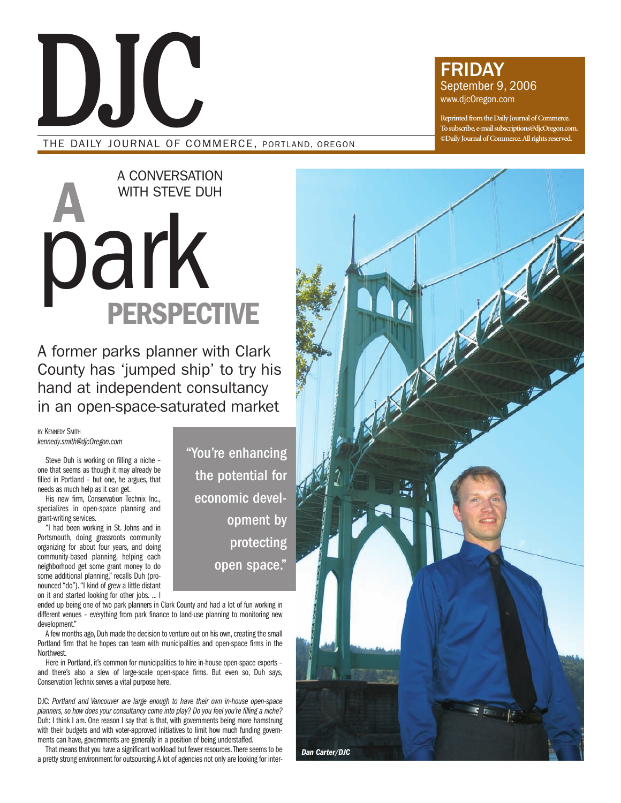

# THE DAILY JOURNAL OF COMMERCE, PORTLAND, OREGON

# FRIDAY September 9, 2006 www.djcOregon.com

**Reprinted from the Daily Journal of Commerce. To subscribe,e-mail subscriptions@djcOregon.com. ©Daily Journal of Commerce.All rights reserved.**

# **A** park **PERSPECTIVE** A CONVERSATION WITH STEVE DUH

A former parks planner with Clark County has 'jumped ship' to try his hand at independent consultancy in an open-space-saturated market

**BY KENNEDY SMITH** *kennedy.smith@djcOregon.com*

Steve Duh is working on filling a niche – one that seems as though it may already be filled in Portland – but one, he argues, that needs as much help as it can get.

His new firm, Conservation Technix Inc., specializes in open-space planning and grant-writing services.

"I had been working in St. Johns and in Portsmouth, doing grassroots community organizing for about four years, and doing community-based planning, helping each neighborhood get some grant money to do some additional planning," recalls Duh (pronounced "do")."I kind of grew a little distant on it and started looking for other jobs. ... I

ended up being one of two park planners in Clark County and had a lot of fun working in different venues – everything from park finance to land-use planning to monitoring new development."

A few months ago, Duh made the decision to venture out on his own, creating the small Portland firm that he hopes can team with municipalities and open-space firms in the Northwest.

Here in Portland, it's common for municipalities to hire in-house open-space experts – and there's also a slew of large-scale open-space firms. But even so, Duh says, Conservation Technix serves a vital purpose here.

DJC: *Portland and Vancouver are large enough to have their own in-house open-space planners, so how does your consultancy come into play? Do you feel you're filling a niche?* Duh: I think I am. One reason I say that is that, with governments being more hamstrung with their budgets and with voter-approved initiatives to limit how much funding governments can have, governments are generally in a position of being understaffed.

That means that you have a significant workload but fewer resources.There seems to be a pretty strong environment for outsourcing.A lot of agencies not only are looking for inter-

"You're enhancing the potential for economic development by protecting open space."